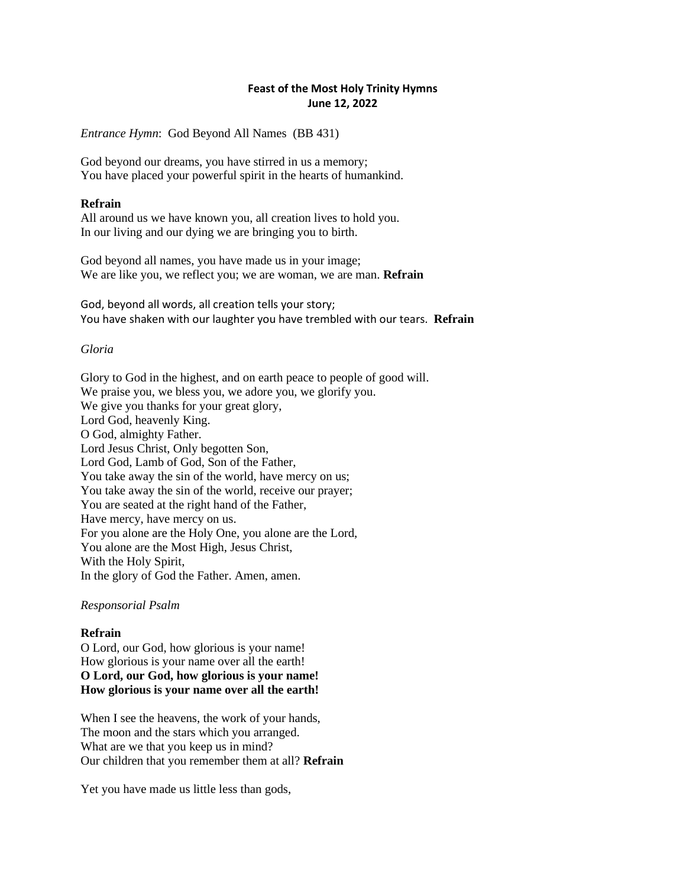# **Feast of the Most Holy Trinity Hymns June 12, 2022**

*Entrance Hymn*: God Beyond All Names (BB 431)

God beyond our dreams, you have stirred in us a memory; You have placed your powerful spirit in the hearts of humankind.

## **Refrain**

All around us we have known you, all creation lives to hold you. In our living and our dying we are bringing you to birth.

God beyond all names, you have made us in your image; We are like you, we reflect you; we are woman, we are man. **Refrain**

God, beyond all words, all creation tells your story; You have shaken with our laughter you have trembled with our tears. **Refrain**

## *Gloria*

Glory to God in the highest, and on earth peace to people of good will. We praise you, we bless you, we adore you, we glorify you. We give you thanks for your great glory, Lord God, heavenly King. O God, almighty Father. Lord Jesus Christ, Only begotten Son, Lord God, Lamb of God, Son of the Father, You take away the sin of the world, have mercy on us; You take away the sin of the world, receive our prayer; You are seated at the right hand of the Father, Have mercy, have mercy on us. For you alone are the Holy One, you alone are the Lord, You alone are the Most High, Jesus Christ, With the Holy Spirit, In the glory of God the Father. Amen, amen.

### *Responsorial Psalm*

# **Refrain**

O Lord, our God, how glorious is your name! How glorious is your name over all the earth! **O Lord, our God, how glorious is your name! How glorious is your name over all the earth!**

When I see the heavens, the work of your hands, The moon and the stars which you arranged. What are we that you keep us in mind? Our children that you remember them at all? **Refrain**

Yet you have made us little less than gods,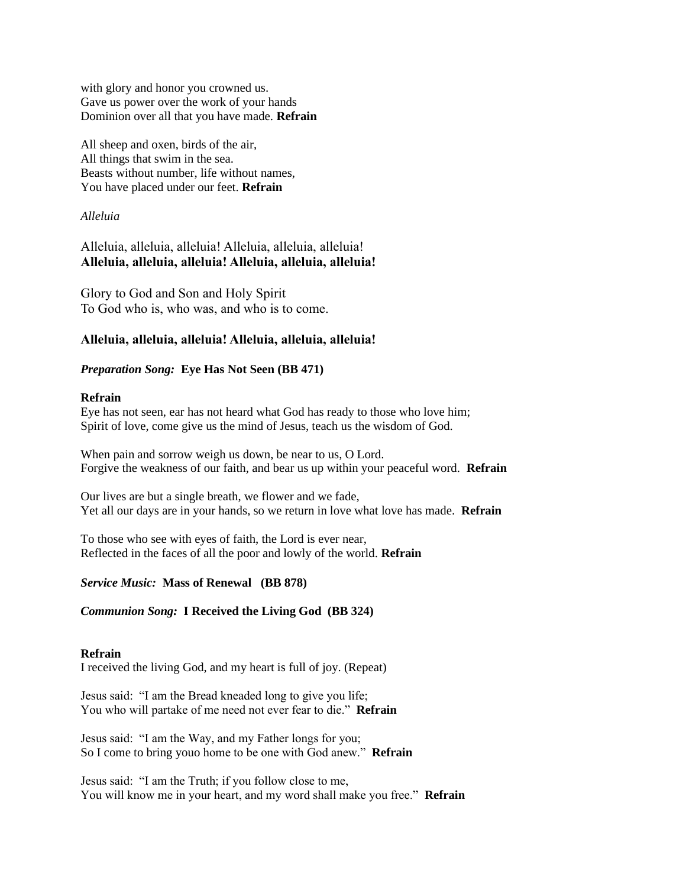with glory and honor you crowned us. Gave us power over the work of your hands Dominion over all that you have made. **Refrain**

All sheep and oxen, birds of the air, All things that swim in the sea. Beasts without number, life without names, You have placed under our feet. **Refrain**

### *Alleluia*

# Alleluia, alleluia, alleluia! Alleluia, alleluia, alleluia! **Alleluia, alleluia, alleluia! Alleluia, alleluia, alleluia!**

Glory to God and Son and Holy Spirit To God who is, who was, and who is to come.

# **Alleluia, alleluia, alleluia! Alleluia, alleluia, alleluia!**

## *Preparation Song:* **Eye Has Not Seen (BB 471)**

### **Refrain**

Eye has not seen, ear has not heard what God has ready to those who love him; Spirit of love, come give us the mind of Jesus, teach us the wisdom of God.

When pain and sorrow weigh us down, be near to us, O Lord. Forgive the weakness of our faith, and bear us up within your peaceful word. **Refrain**

Our lives are but a single breath, we flower and we fade, Yet all our days are in your hands, so we return in love what love has made. **Refrain**

To those who see with eyes of faith, the Lord is ever near, Reflected in the faces of all the poor and lowly of the world. **Refrain**

### *Service Music:* **Mass of Renewal (BB 878)**

# *Communion Song:* **I Received the Living God (BB 324)**

### **Refrain**

I received the living God, and my heart is full of joy. (Repeat)

Jesus said: "I am the Bread kneaded long to give you life; You who will partake of me need not ever fear to die." **Refrain**

Jesus said: "I am the Way, and my Father longs for you; So I come to bring youo home to be one with God anew." **Refrain**

Jesus said: "I am the Truth; if you follow close to me, You will know me in your heart, and my word shall make you free." **Refrain**